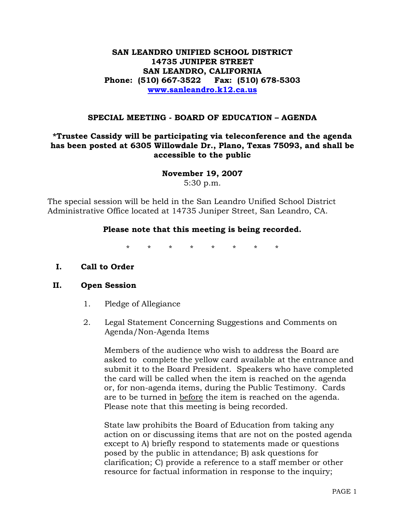# **SAN LEANDRO UNIFIED SCHOOL DISTRICT 14735 JUNIPER STREET SAN LEANDRO, CALIFORNIA Phone: (510) 667-3522 Fax: (510) 678-5303 www.sanleandro.k12.ca.us**

### **SPECIAL MEETING - BOARD OF EDUCATION – AGENDA**

# **\*Trustee Cassidy will be participating via teleconference and the agenda has been posted at 6305 Willowdale Dr., Plano, Texas 75093, and shall be accessible to the public**

**November 19, 2007** 

5:30 p.m.

The special session will be held in the San Leandro Unified School District Administrative Office located at 14735 Juniper Street, San Leandro, CA.

# **Please note that this meeting is being recorded.**

\* \* \* \* \* \* \* \*

### **I. Call to Order**

### **II. Open Session**

- 1. Pledge of Allegiance
- 2. Legal Statement Concerning Suggestions and Comments on Agenda/Non-Agenda Items

 Members of the audience who wish to address the Board are asked to complete the yellow card available at the entrance and submit it to the Board President. Speakers who have completed the card will be called when the item is reached on the agenda or, for non-agenda items, during the Public Testimony. Cards are to be turned in before the item is reached on the agenda. Please note that this meeting is being recorded.

 State law prohibits the Board of Education from taking any action on or discussing items that are not on the posted agenda except to A) briefly respond to statements made or questions posed by the public in attendance; B) ask questions for clarification; C) provide a reference to a staff member or other resource for factual information in response to the inquiry;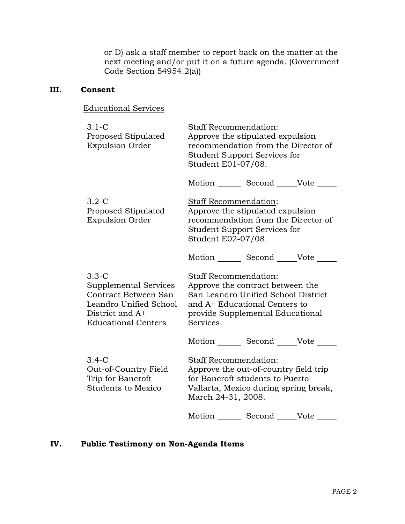or D) ask a staff member to report back on the matter at the next meeting and/or put it on a future agenda. (Government Code Section 54954.2(a))

# **III. Consent**

| <b>Educational Services</b> |  |
|-----------------------------|--|
|-----------------------------|--|

| $3.1-C$<br>Proposed Stipulated<br><b>Expulsion Order</b>                                                                              | <b>Staff Recommendation:</b><br>Approve the stipulated expulsion<br>recommendation from the Director of<br><b>Student Support Services for</b><br>Student E01-07/08.               |  |
|---------------------------------------------------------------------------------------------------------------------------------------|------------------------------------------------------------------------------------------------------------------------------------------------------------------------------------|--|
|                                                                                                                                       | Motion Second Vote                                                                                                                                                                 |  |
| $3.2 - C$<br>Proposed Stipulated<br><b>Expulsion Order</b>                                                                            | Staff Recommendation:<br>Approve the stipulated expulsion<br>recommendation from the Director of<br><b>Student Support Services for</b><br>Student E02-07/08.                      |  |
|                                                                                                                                       | Motion ________ Second ______Vote                                                                                                                                                  |  |
| $3.3 - C$<br>Supplemental Services<br>Contract Between San<br>Leandro Unified School<br>District and A+<br><b>Educational Centers</b> | Staff Recommendation:<br>Approve the contract between the<br>San Leandro Unified School District<br>and A+ Educational Centers to<br>provide Supplemental Educational<br>Services. |  |
|                                                                                                                                       | Motion Second Vote                                                                                                                                                                 |  |
| $3.4-C$<br>Out-of-Country Field<br>Trip for Bancroft<br><b>Students to Mexico</b>                                                     | Staff Recommendation:<br>Approve the out-of-country field trip<br>for Bancroft students to Puerto<br>Vallarta, Mexico during spring break,<br>March 24-31, 2008.                   |  |
|                                                                                                                                       | Motion Second Vote                                                                                                                                                                 |  |

# **IV. Public Testimony on Non-Agenda Items**